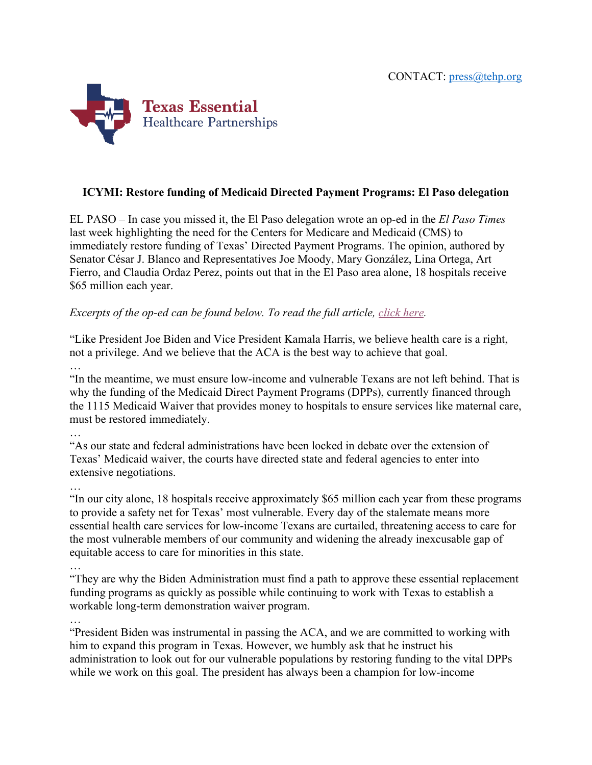

## **ICYMI: Restore funding of Medicaid Directed Payment Programs: El Paso delegation**

EL PASO – In case you missed it, the El Paso delegation wrote an op-ed in the *El Paso Times* last week highlighting the need for the Centers for Medicare and Medicaid (CMS) to immediately restore funding of Texas' Directed Payment Programs. The opinion, authored by Senator César J. Blanco and Representatives Joe Moody, Mary González, Lina Ortega, Art Fierro, and Claudia Ordaz Perez, points out that in the El Paso area alone, 18 hospitals receive \$65 million each year.

## *Excerpts of the op-ed can be found below. To read the full article, click here.*

"Like President Joe Biden and Vice President Kamala Harris, we believe health care is a right, not a privilege. And we believe that the ACA is the best way to achieve that goal. …

"In the meantime, we must ensure low-income and vulnerable Texans are not left behind. That is why the funding of the Medicaid Direct Payment Programs (DPPs), currently financed through the 1115 Medicaid Waiver that provides money to hospitals to ensure services like maternal care, must be restored immediately.

…

"As our state and federal administrations have been locked in debate over the extension of Texas' Medicaid waiver, the courts have directed state and federal agencies to enter into extensive negotiations.

…

"In our city alone, 18 hospitals receive approximately \$65 million each year from these programs to provide a safety net for Texas' most vulnerable. Every day of the stalemate means more essential health care services for low-income Texans are curtailed, threatening access to care for the most vulnerable members of our community and widening the already inexcusable gap of equitable access to care for minorities in this state.

…

"They are why the Biden Administration must find a path to approve these essential replacement funding programs as quickly as possible while continuing to work with Texas to establish a workable long-term demonstration waiver program.

…

"President Biden was instrumental in passing the ACA, and we are committed to working with him to expand this program in Texas. However, we humbly ask that he instruct his administration to look out for our vulnerable populations by restoring funding to the vital DPPs while we work on this goal. The president has always been a champion for low-income